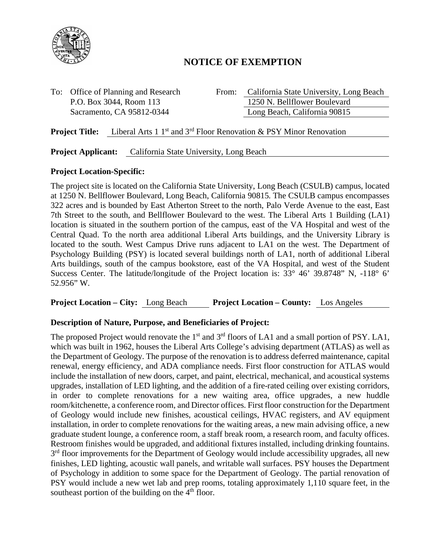

# **NOTICE OF EXEMPTION**

To: Office of Planning and Research From: California State University, Long Beach P.O. Box 3044, Room 113 1250 N. Bellflower Boulevard Sacramento, CA 95812-0344 Long Beach, California 90815

**Project Title:** Liberal Arts 1 1<sup>st</sup> and 3<sup>rd</sup> Floor Renovation & PSY Minor Renovation

### **Project Applicant:** California State University, Long Beach

### **Project Location-Specific:**

The project site is located on the California State University, Long Beach (CSULB) campus, located at 1250 N. Bellflower Boulevard, Long Beach, California 90815. The CSULB campus encompasses 322 acres and is bounded by East Atherton Street to the north, Palo Verde Avenue to the east, East 7th Street to the south, and Bellflower Boulevard to the west. The Liberal Arts 1 Building (LA1) location is situated in the southern portion of the campus, east of the VA Hospital and west of the Central Quad. To the north area additional Liberal Arts buildings, and the University Library is located to the south. West Campus Drive runs adjacent to LA1 on the west. The Department of Psychology Building (PSY) is located several buildings north of LA1, north of additional Liberal Arts buildings, south of the campus bookstore, east of the VA Hospital, and west of the Student Success Center. The latitude/longitude of the Project location is: 33° 46' 39.8748" N, -118° 6' 52.956" W.

**Project Location – City:** Long Beach **Project Location – County:** Los Angeles

#### **Description of Nature, Purpose, and Beneficiaries of Project:**

The proposed Project would renovate the 1<sup>st</sup> and 3<sup>rd</sup> floors of LA1 and a small portion of PSY. LA1, which was built in 1962, houses the Liberal Arts College's advising department (ATLAS) as well as the Department of Geology. The purpose of the renovation is to address deferred maintenance, capital renewal, energy efficiency, and ADA compliance needs. First floor construction for ATLAS would include the installation of new doors, carpet, and paint, electrical, mechanical, and acoustical systems upgrades, installation of LED lighting, and the addition of a fire-rated ceiling over existing corridors, in order to complete renovations for a new waiting area, office upgrades, a new huddle room/kitchenette, a conference room, and Director offices. First floor construction for the Department of Geology would include new finishes, acoustical ceilings, HVAC registers, and AV equipment installation, in order to complete renovations for the waiting areas, a new main advising office, a new graduate student lounge, a conference room, a staff break room, a research room, and faculty offices. Restroom finishes would be upgraded, and additional fixtures installed, including drinking fountains. 3<sup>rd</sup> floor improvements for the Department of Geology would include accessibility upgrades, all new finishes, LED lighting, acoustic wall panels, and writable wall surfaces. PSY houses the Department of Psychology in addition to some space for the Department of Geology. The partial renovation of PSY would include a new wet lab and prep rooms, totaling approximately 1,110 square feet, in the southeast portion of the building on the  $4<sup>th</sup>$  floor.